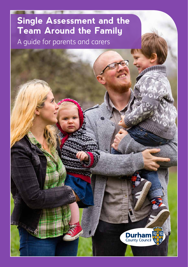# **Single Assessment and the Team Around the Family**

A guide for parents and carers

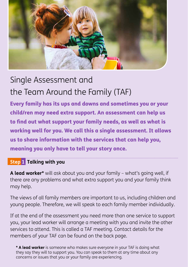

# Single Assessment and the Team Around the Family (TAF)

Every family has its ups and downs and sometimes you or your child/ren may need extra support. An assessment can help us to find out what support your family needs, as well as what is working well for you. We call this a single assessment. It allows us to share information with the services that can help you, meaning you only have to tell your story once.

## **Step 1 Talking with you**

**A lead worker\*** will ask about you and your family – what's going well, if there are any problems and what extra support you and your family think may help.

The views of all family members are important to us, including children and young people. Therefore, we will speak to each family member individually.

If at the end of the assessment you need more than one service to support you, your lead worker will arrange a meeting with you and invite the other services to attend. This is called a TAF meeting. Contact details for the members of your TAF can be found on the back page.

**[\\*](#page-2-0) A lead worker** is someone who makes sure everyone in your TAF is doing what they say they will to support you. You can speak to them at any time about any concerns or issues that you or your family are experiencing.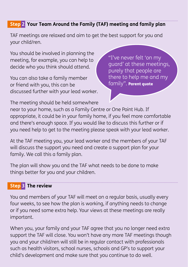## <span id="page-2-0"></span>**Step 2 Your Team Around the Family (TAF) meeting and family plan**

TAF meetings are relaxed and aim to get the best support for you and your child/ren.

You should be involved in planning the meeting, for example, you can help to decide who you think should attend.

You can also take a family member or friend with you, this can be discussed further with your lead worker. "I've never felt 'on my guard' at these meetings, purely that people are there to help me and my family". Parent quote

The meeting should be held somewhere

near to your home, such as a Family Centre or One Point Hub. If appropriate, it could be in your family home, if you feel more comfortable and there's enough space. If you would like to discuss this further or if you need help to get to the meeting please speak with your lead worker.

At the TAF meeting you, your lead worker and the members of your TAF will discuss the support you need and create a support plan for your family. We call this a family plan.

The plan will show you and the TAF what needs to be done to make things better for you and your children.

### **Step 3 The review**

You and members of your TAF will meet on a regular basis, usually every four weeks, to see how the plan is working, if anything needs to change or if you need some extra help. Your views at these meetings are really important.

When you, your family and your TAF agree that you no longer need extra support the TAF will close. You won't have any more TAF meetings though you and your child/ren will still be in regular contact with professionals such as health visitors, school nurses, schools and GP's to support your child's development and make sure that you continue to do well.